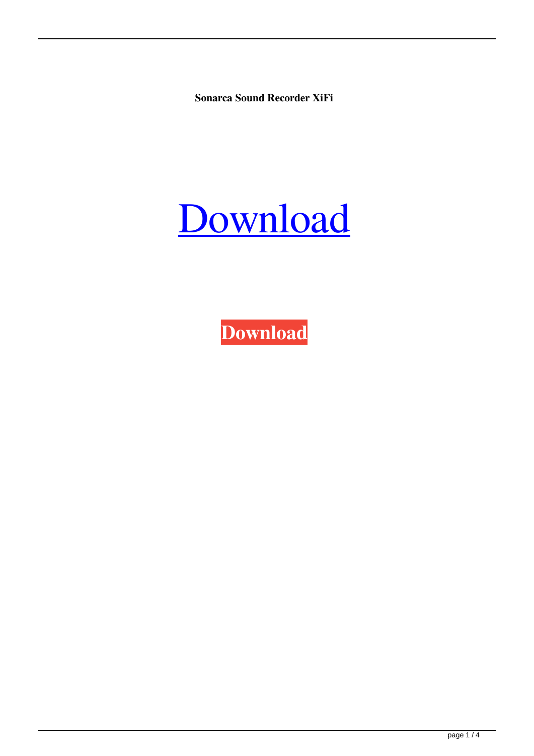**Sonarca Sound Recorder XiFi**

# [Download](http://evacdir.com/ZG93bmxvYWR8Y2UzTldjMGJueDhNVFkxTkRRek5qWTFPSHg4TWpVNU1IeDhLRTBwSUZkdmNtUndjbVZ6Y3lCYldFMU1VbEJESUZZeUlGQkVSbDA/heartburning/editor.sunriseimports?standring/U29uYXJjYSBTb3VuZCBSZWNvcmRlciBYaUZpU29)

**[Download](http://evacdir.com/ZG93bmxvYWR8Y2UzTldjMGJueDhNVFkxTkRRek5qWTFPSHg4TWpVNU1IeDhLRTBwSUZkdmNtUndjbVZ6Y3lCYldFMU1VbEJESUZZeUlGQkVSbDA/heartburning/editor.sunriseimports?standring/U29uYXJjYSBTb3VuZCBSZWNvcmRlciBYaUZpU29)**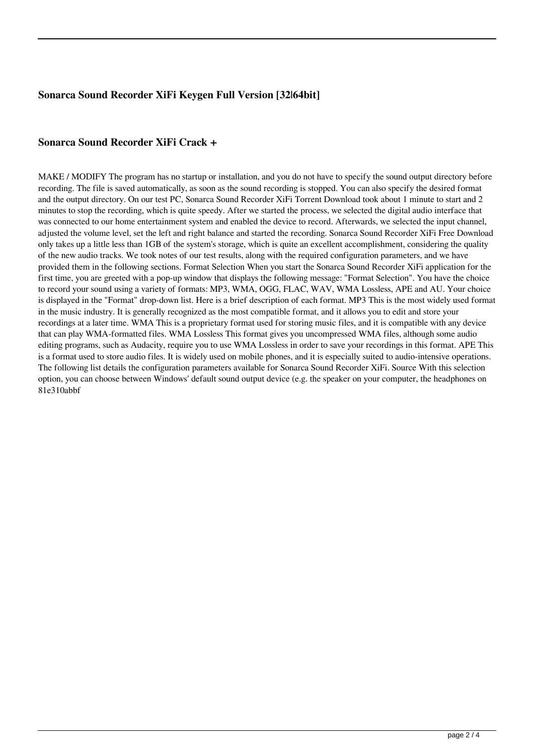## **Sonarca Sound Recorder XiFi Keygen Full Version [32|64bit]**

### **Sonarca Sound Recorder XiFi Crack +**

MAKE / MODIFY The program has no startup or installation, and you do not have to specify the sound output directory before recording. The file is saved automatically, as soon as the sound recording is stopped. You can also specify the desired format and the output directory. On our test PC, Sonarca Sound Recorder XiFi Torrent Download took about 1 minute to start and 2 minutes to stop the recording, which is quite speedy. After we started the process, we selected the digital audio interface that was connected to our home entertainment system and enabled the device to record. Afterwards, we selected the input channel, adjusted the volume level, set the left and right balance and started the recording. Sonarca Sound Recorder XiFi Free Download only takes up a little less than 1GB of the system's storage, which is quite an excellent accomplishment, considering the quality of the new audio tracks. We took notes of our test results, along with the required configuration parameters, and we have provided them in the following sections. Format Selection When you start the Sonarca Sound Recorder XiFi application for the first time, you are greeted with a pop-up window that displays the following message: "Format Selection". You have the choice to record your sound using a variety of formats: MP3, WMA, OGG, FLAC, WAV, WMA Lossless, APE and AU. Your choice is displayed in the "Format" drop-down list. Here is a brief description of each format. MP3 This is the most widely used format in the music industry. It is generally recognized as the most compatible format, and it allows you to edit and store your recordings at a later time. WMA This is a proprietary format used for storing music files, and it is compatible with any device that can play WMA-formatted files. WMA Lossless This format gives you uncompressed WMA files, although some audio editing programs, such as Audacity, require you to use WMA Lossless in order to save your recordings in this format. APE This is a format used to store audio files. It is widely used on mobile phones, and it is especially suited to audio-intensive operations. The following list details the configuration parameters available for Sonarca Sound Recorder XiFi. Source With this selection option, you can choose between Windows' default sound output device (e.g. the speaker on your computer, the headphones on 81e310abbf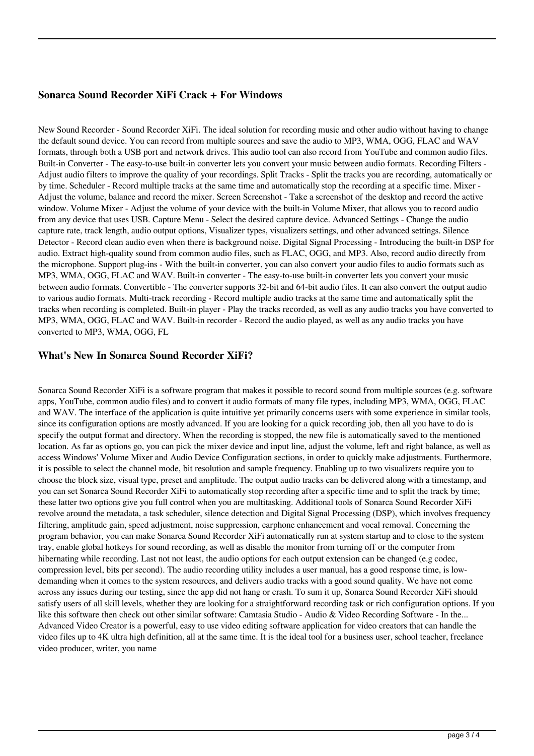#### **Sonarca Sound Recorder XiFi Crack + For Windows**

New Sound Recorder - Sound Recorder XiFi. The ideal solution for recording music and other audio without having to change the default sound device. You can record from multiple sources and save the audio to MP3, WMA, OGG, FLAC and WAV formats, through both a USB port and network drives. This audio tool can also record from YouTube and common audio files. Built-in Converter - The easy-to-use built-in converter lets you convert your music between audio formats. Recording Filters - Adjust audio filters to improve the quality of your recordings. Split Tracks - Split the tracks you are recording, automatically or by time. Scheduler - Record multiple tracks at the same time and automatically stop the recording at a specific time. Mixer - Adjust the volume, balance and record the mixer. Screen Screenshot - Take a screenshot of the desktop and record the active window. Volume Mixer - Adjust the volume of your device with the built-in Volume Mixer, that allows you to record audio from any device that uses USB. Capture Menu - Select the desired capture device. Advanced Settings - Change the audio capture rate, track length, audio output options, Visualizer types, visualizers settings, and other advanced settings. Silence Detector - Record clean audio even when there is background noise. Digital Signal Processing - Introducing the built-in DSP for audio. Extract high-quality sound from common audio files, such as FLAC, OGG, and MP3. Also, record audio directly from the microphone. Support plug-ins - With the built-in converter, you can also convert your audio files to audio formats such as MP3, WMA, OGG, FLAC and WAV. Built-in converter - The easy-to-use built-in converter lets you convert your music between audio formats. Convertible - The converter supports 32-bit and 64-bit audio files. It can also convert the output audio to various audio formats. Multi-track recording - Record multiple audio tracks at the same time and automatically split the tracks when recording is completed. Built-in player - Play the tracks recorded, as well as any audio tracks you have converted to MP3, WMA, OGG, FLAC and WAV. Built-in recorder - Record the audio played, as well as any audio tracks you have converted to MP3, WMA, OGG, FL

#### **What's New In Sonarca Sound Recorder XiFi?**

Sonarca Sound Recorder XiFi is a software program that makes it possible to record sound from multiple sources (e.g. software apps, YouTube, common audio files) and to convert it audio formats of many file types, including MP3, WMA, OGG, FLAC and WAV. The interface of the application is quite intuitive yet primarily concerns users with some experience in similar tools, since its configuration options are mostly advanced. If you are looking for a quick recording job, then all you have to do is specify the output format and directory. When the recording is stopped, the new file is automatically saved to the mentioned location. As far as options go, you can pick the mixer device and input line, adjust the volume, left and right balance, as well as access Windows' Volume Mixer and Audio Device Configuration sections, in order to quickly make adjustments. Furthermore, it is possible to select the channel mode, bit resolution and sample frequency. Enabling up to two visualizers require you to choose the block size, visual type, preset and amplitude. The output audio tracks can be delivered along with a timestamp, and you can set Sonarca Sound Recorder XiFi to automatically stop recording after a specific time and to split the track by time; these latter two options give you full control when you are multitasking. Additional tools of Sonarca Sound Recorder XiFi revolve around the metadata, a task scheduler, silence detection and Digital Signal Processing (DSP), which involves frequency filtering, amplitude gain, speed adjustment, noise suppression, earphone enhancement and vocal removal. Concerning the program behavior, you can make Sonarca Sound Recorder XiFi automatically run at system startup and to close to the system tray, enable global hotkeys for sound recording, as well as disable the monitor from turning off or the computer from hibernating while recording. Last not not least, the audio options for each output extension can be changed (e.g codec, compression level, bits per second). The audio recording utility includes a user manual, has a good response time, is lowdemanding when it comes to the system resources, and delivers audio tracks with a good sound quality. We have not come across any issues during our testing, since the app did not hang or crash. To sum it up, Sonarca Sound Recorder XiFi should satisfy users of all skill levels, whether they are looking for a straightforward recording task or rich configuration options. If you like this software then check out other similar software: Camtasia Studio - Audio & Video Recording Software - In the... Advanced Video Creator is a powerful, easy to use video editing software application for video creators that can handle the video files up to 4K ultra high definition, all at the same time. It is the ideal tool for a business user, school teacher, freelance video producer, writer, you name